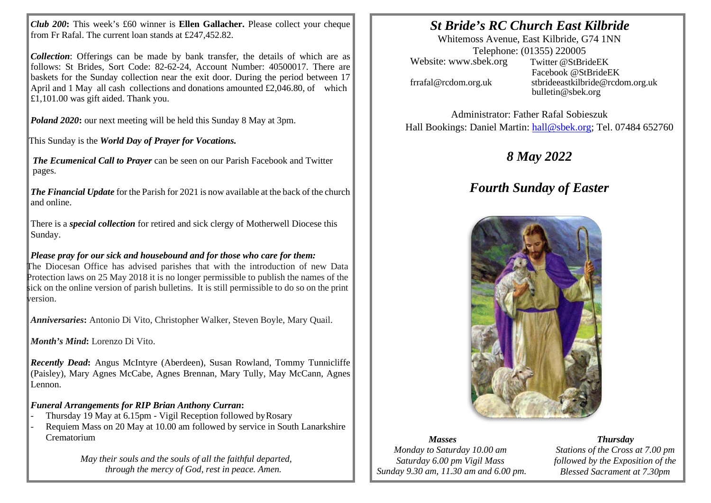*Club 200***:** This week's £60 winner is **Ellen Gallacher.** Please collect your cheque from Fr Rafal. The current loan stands at £247,452.82.

*Collection*: Offerings can be made by bank transfer, the details of which are as follows: St Brides, Sort Code: 82-62-24, Account Number: 40500017. There are baskets for the Sunday collection near the exit door. During the period between 17 April and 1 May all cash collections and donations amounted  $\text{\pounds}2,046.80$ , of which £1,101.00 was gift aided. Thank you.

*Poland 2020*: our next meeting will be held this Sunday 8 May at 3pm.

This Sunday is the *World Day of Prayer for Vocations.*

*The Ecumenical Call to Prayer* can be seen on our Parish Facebook and Twitter pages.

*The Financial Update* for the Parish for 2021 is now available at the back of the church and online.

There is a *special collection* for retired and sick clergy of Motherwell Diocese this Sunday.

## *Please pray for our sick and housebound and for those who care for them:*

The Diocesan Office has advised parishes that with the introduction of new Data Protection laws on 25 May 2018 it is no longer permissible to publish the names of the sick on the online version of parish bulletins. It is still permissible to do so on the print version.

*Anniversaries***:** Antonio Di Vito, Christopher Walker, Steven Boyle, Mary Quail.

*Month's Mind***:** Lorenzo Di Vito.

*Recently Dead***:** Angus McIntyre (Aberdeen), Susan Rowland, Tommy Tunnicliffe (Paisley), Mary Agnes McCabe, Agnes Brennan, Mary Tully, May McCann, Agnes Lennon.

### *Funeral Arrangements for RIP Brian Anthony Curran***:**

- Thursday 19 May at 6.15pm Vigil Reception followed byRosary
- Requiem Mass on 20 May at 10.00 am followed by service in South Lanarkshire Crematorium

*May their souls and the souls of all the faithful departed, through the mercy of God, rest in peace. Amen.*

# *St Bride's RC Church East Kilbride*

Whitemoss Avenue, East Kilbride, G74 1NN Telephone: (01355) 220005 Website: [www.sbek.org](http://www.sbek.org/) Twitter @StBrideEK

Facebook @StBrideEK [frrafal@rcdom.org.uk](mailto:frrafal@rcdom.org.uk) [stbrideeastkilbride@rcdom.org.uk](mailto:stbrideeastkilbride@rcdom.org.uk) [bulletin@sbek.org](mailto:bulletin@sbek.org)

Administrator: Father Rafal Sobieszuk Hall Bookings: Daniel Martin: [hall@sbek.org;](mailto:hall@sbek.org) Tel. 07484 652760

# *8 May 2022*

# *Fourth Sunday of Easter*



#### *Masses*

*Monday to Saturday 10.00 am Saturday 6.00 pm Vigil Mass Sunday 9.30 am, 11.30 am and 6.00 pm.*

*Thursday Stations of the Cross at 7.00 pm followed by the Exposition of the Blessed Sacrament at 7.30pm*